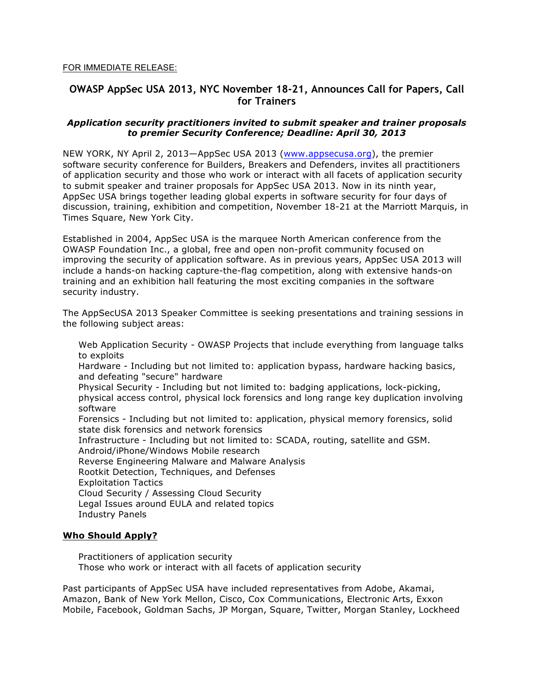#### FOR IMMEDIATE RELEASE:

# **OWASP AppSec USA 2013, NYC November 18-21, Announces Call for Papers, Call for Trainers**

## *Application security practitioners invited to submit speaker and trainer proposals to premier Security Conference; Deadline: April 30, 2013*

NEW YORK, NY April 2, 2013—AppSec USA 2013 (www.appsecusa.org), the premier software security conference for Builders, Breakers and Defenders, invites all practitioners of application security and those who work or interact with all facets of application security to submit speaker and trainer proposals for AppSec USA 2013. Now in its ninth year, AppSec USA brings together leading global experts in software security for four days of discussion, training, exhibition and competition, November 18-21 at the Marriott Marquis, in Times Square, New York City.

Established in 2004, AppSec USA is the marquee North American conference from the OWASP Foundation Inc., a global, free and open non-profit community focused on improving the security of application software. As in previous years, AppSec USA 2013 will include a hands-on hacking capture-the-flag competition, along with extensive hands-on training and an exhibition hall featuring the most exciting companies in the software security industry.

The AppSecUSA 2013 Speaker Committee is seeking presentations and training sessions in the following subject areas:

 Web Application Security - OWASP Projects that include everything from language talks to exploits

 Hardware - Including but not limited to: application bypass, hardware hacking basics, and defeating "secure" hardware

 Physical Security - Including but not limited to: badging applications, lock-picking, physical access control, physical lock forensics and long range key duplication involving software

 Forensics - Including but not limited to: application, physical memory forensics, solid state disk forensics and network forensics

Infrastructure - Including but not limited to: SCADA, routing, satellite and GSM.

Android/iPhone/Windows Mobile research

Reverse Engineering Malware and Malware Analysis

Rootkit Detection, Techniques, and Defenses

Exploitation Tactics

Cloud Security / Assessing Cloud Security

Legal Issues around EULA and related topics

Industry Panels

# **Who Should Apply?**

 Practitioners of application security Those who work or interact with all facets of application security

Past participants of AppSec USA have included representatives from Adobe, Akamai, Amazon, Bank of New York Mellon, Cisco, Cox Communications, Electronic Arts, Exxon Mobile, Facebook, Goldman Sachs, JP Morgan, Square, Twitter, Morgan Stanley, Lockheed